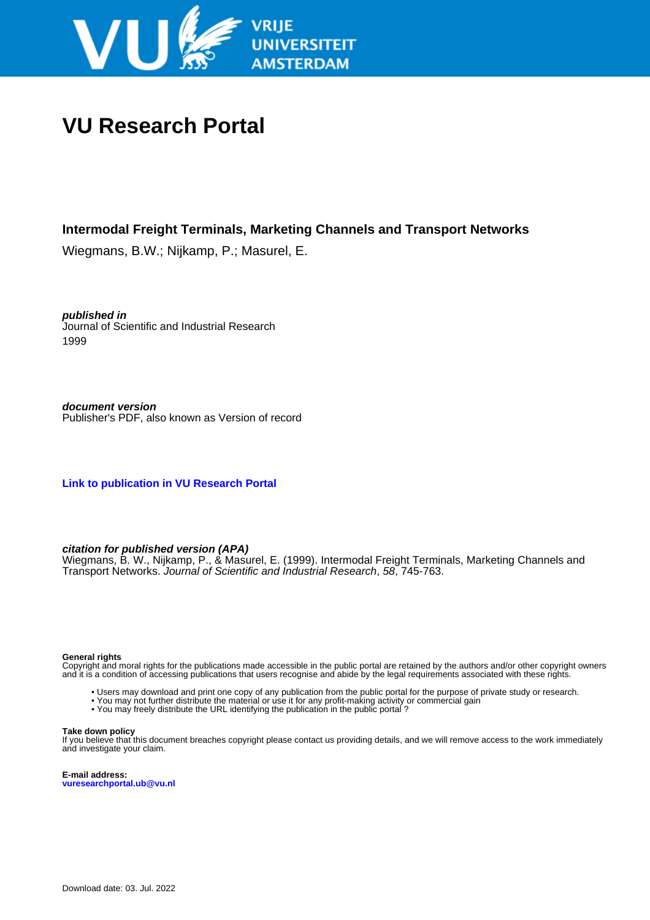

# **VU Research Portal**

## **Intermodal Freight Terminals, Marketing Channels and Transport Networks**

Wiegmans, B.W.; Nijkamp, P.; Masurel, E.

**published in** Journal of Scientific and Industrial Research 1999

**document version** Publisher's PDF, also known as Version of record

**[Link to publication in VU Research Portal](https://research.vu.nl/en/publications/4931d942-96a7-4a65-b3e8-fdf2f5f12aaa)**

#### **citation for published version (APA)**

Wiegmans, B. W., Nijkamp, P., & Masurel, E. (1999). Intermodal Freight Terminals, Marketing Channels and Transport Networks. Journal of Scientific and Industrial Research, 58, 745-763.

#### **General rights**

Copyright and moral rights for the publications made accessible in the public portal are retained by the authors and/or other copyright owners and it is a condition of accessing publications that users recognise and abide by the legal requirements associated with these rights.

- Users may download and print one copy of any publication from the public portal for the purpose of private study or research.
- You may not further distribute the material or use it for any profit-making activity or commercial gain
- You may freely distribute the URL identifying the publication in the public portal ?

#### **Take down policy**

If you believe that this document breaches copyright please contact us providing details, and we will remove access to the work immediately and investigate your claim.

**E-mail address: vuresearchportal.ub@vu.nl**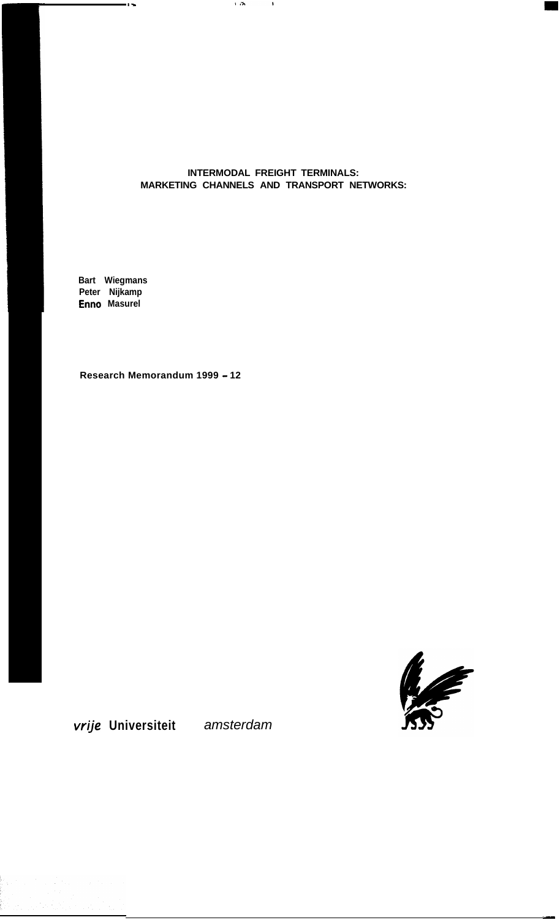#### **INTERMODAL FREIGHT TERMINALS: MARKETING CHANNELS AND TRANSPORT NETWORKS:**

 $\mathcal{F}(\mathbf{r},\mathbf{r})$  .

 $\sim 10$ 

**Bart Wiegmans Peter Nijkamp Enno Masurel**

 $-$ 

**Research Memorandum 1999 - 12**



-

**vrije Universiteit** *amsterdam*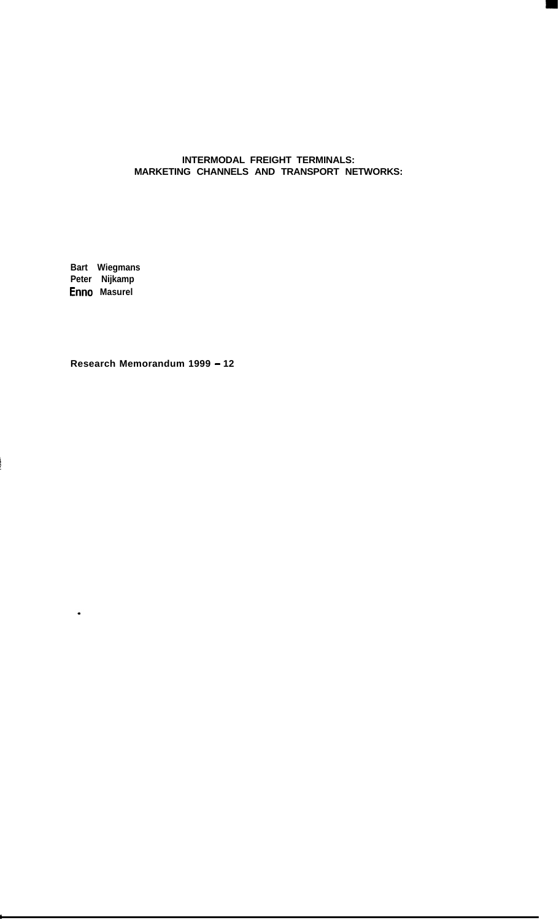#### **INTERMODAL FREIGHT TERMINALS: MARKETING CHANNELS AND TRANSPORT NETWORKS:**

**Bart Wiegmans Peter Nijkamp Enno Masurel**

 $\bullet$ 

**Research Memorandum 1999 - 12**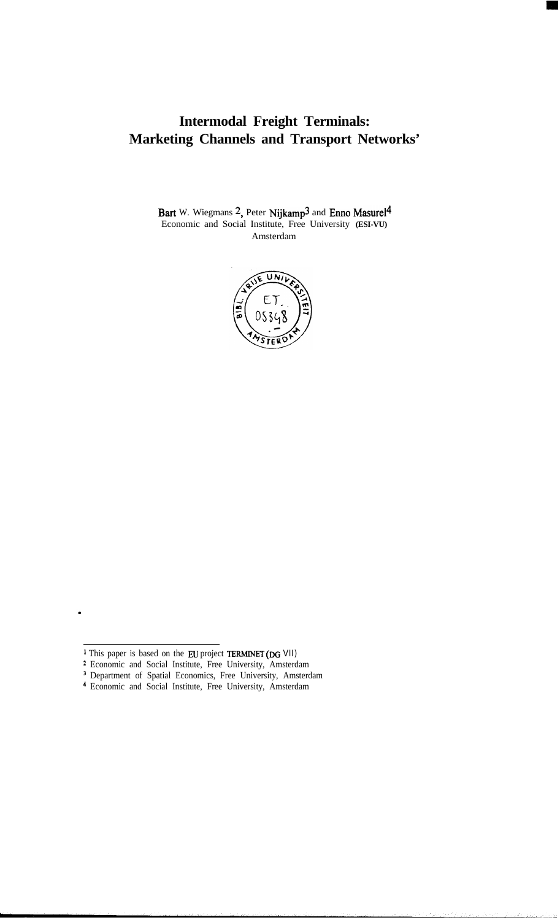# **Intermodal Freight Terminals: Marketing Channels and Transport Networks'**

Bart W. Wiegmans 2, Peter Nijkamp<sup>3</sup> and Enno Masurel<sup>4</sup> Economic and Social Institute, Free University **(ESI-VU)** Amsterdam



- <sup>2</sup> Economic and Social Institute, Free University, Amsterdam
- <sup>3</sup> Department of Spatial Economics, Free University, Amsterdam
- 4 Economic and Social Institute, Free University, Amsterdam

<sup>&</sup>lt;sup>1</sup> This paper is based on the EU project **TERMINET** (DG VII)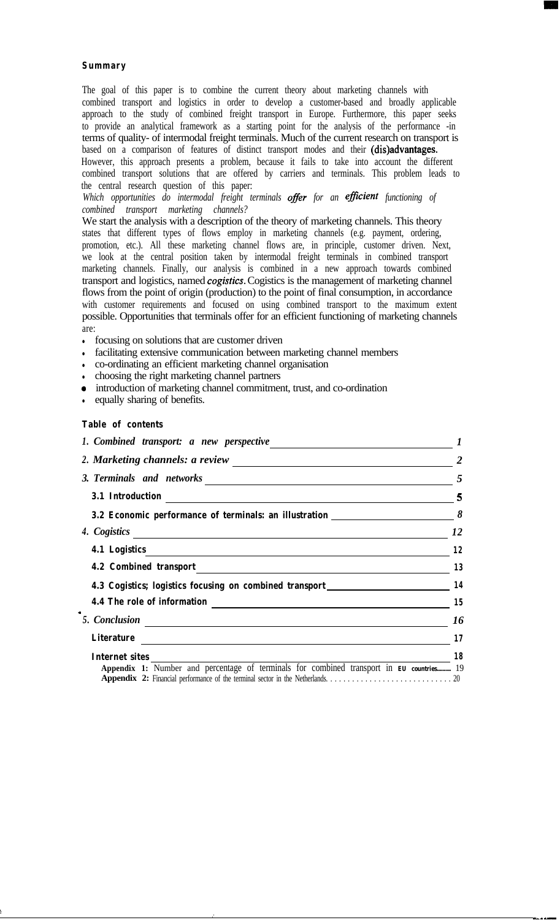#### **Summary**

The goal of this paper is to combine the current theory about marketing channels with combined transport and logistics in order to develop a customer-based and broadly applicable approach to the study of combined freight transport in Europe. Furthermore, this paper seeks to provide an analytical framework as a starting point for the analysis of the performance -in terms of quality- of intermodal freight terminals. Much of the current research on transport is based on a comparison of features of distinct transport modes and their (dis)advantages. However, this approach presents a problem, because it fails to take into account the different

combined transport solutions that are offered by carriers and terminals. This problem leads to the central research question of this paper:

*Which opportunities do intermodal freight terminals offer for an efficient functioning of combined transport marketing channels?*

We start the analysis with a description of the theory of marketing channels. This theory states that different types of flows employ in marketing channels (e.g. payment, ordering, promotion, etc.). All these marketing channel flows are, in principle, customer driven. Next, we look at the central position taken by intermodal freight terminals in combined transport marketing channels. Finally, our analysis is combined in a new approach towards combined transport and logistics, named *cogistics.* Cogistics is the management of marketing channel flows from the point of origin (production) to the point of final consumption, in accordance with customer requirements and focused on using combined transport to the maximum extent possible. Opportunities that terminals offer for an efficient functioning of marketing channels are:

- focusing on solutions that are customer driven
- facilitating extensive communication between marketing channel members
- co-ordinating an efficient marketing channel organisation
- <sup>l</sup> choosing the right marketing channel partners
- <sup>0</sup> introduction of marketing channel commitment, trust, and co-ordination
- equally sharing of benefits.

#### **Table of contents**

';

|                                                                                          | $\frac{5}{1}$ |
|------------------------------------------------------------------------------------------|---------------|
| 3.1 Introduction 5                                                                       |               |
| 3.2 Economic performance of terminals: an illustration $\frac{1}{1}$ $\delta$            |               |
| 4. Cogistics 12                                                                          |               |
|                                                                                          | 12            |
|                                                                                          |               |
| 4.3 Cogistics; logistics focusing on combined transport__________________________ 14     |               |
| 4.4 The role of information 15                                                           |               |
| 5. Conclusion 16                                                                         |               |
| Literature 17                                                                            |               |
| $\begin{array}{c c c c} \hline \text{trace} & \text{18} \end{array}$<br>Internet sites   |               |
| Appendix 1: Number and percentage of terminals for combined transport in EU countries 19 |               |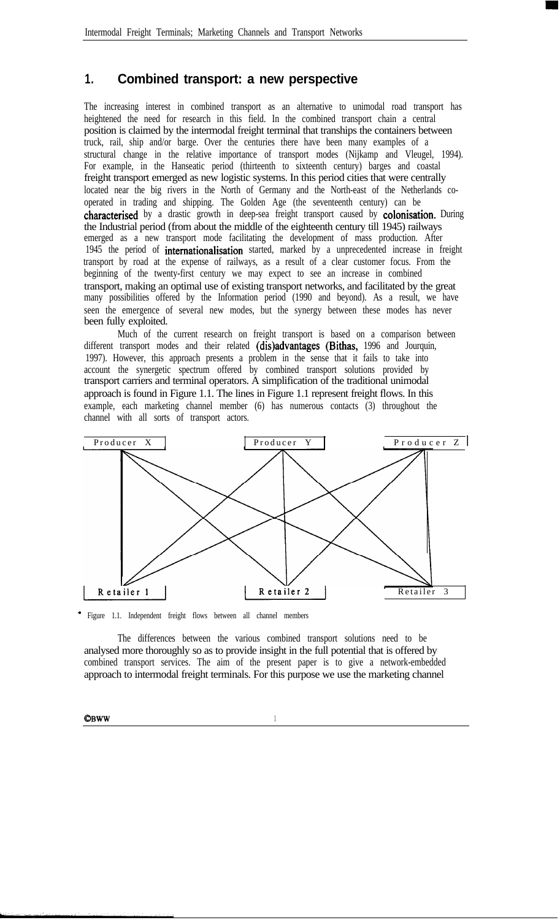# **1. Combined transport: a new perspective**

The increasing interest in combined transport as an alternative to unimodal road transport has heightened the need for research in this field. In the combined transport chain a central position is claimed by the intermodal freight terminal that tranships the containers between truck, rail, ship and/or barge. Over the centuries there have been many examples of a structural change in the relative importance of transport modes (Nijkamp and Vleugel, 1994). For example, in the Hanseatic period (thirteenth to sixteenth century) barges and coastal freight transport emerged as new logistic systems. In this period cities that were centrally located near the big rivers in the North of Germany and the North-east of the Netherlands cooperated in trading and shipping. The Golden Age (the seventeenth century) can be characterised by a drastic growth in deep-sea freight transport caused by colonisation. During the Industrial period (from about the middle of the eighteenth century till 1945) railways emerged as a new transport mode facilitating the development of mass production. After 1945 the period of internationalisation started, marked by a unprecedented increase in freight transport by road at the expense of railways, as a result of a clear customer focus. From the beginning of the twenty-first century we may expect to see an increase in combined transport, making an optimal use of existing transport networks, and facilitated by the great many possibilities offered by the Information period (1990 and beyond). As a result, we have seen the emergence of several new modes, but the synergy between these modes has never been fully exploited.

Much of the current research on freight transport is based on a comparison between different transport modes and their related (dis)advantages (Bithas, 1996 and Jourquin, 1997). However, this approach presents a problem in the sense that it fails to take into account the synergetic spectrum offered by combined transport solutions provided by transport carriers and terminal operators. A simplification of the traditional unimodal approach is found in Figure 1.1. The lines in Figure 1.1 represent freight flows. In this example, each marketing channel member (6) has numerous contacts (3) throughout the channel with all sorts of transport actors.



Figure 1.1. Independent freight flows between all channel members

The differences between the various combined transport solutions need to be analysed more thoroughly so as to provide insight in the full potential that is offered by combined transport services. The aim of the present paper is to give a network-embedded approach to intermodal freight terminals. For this purpose we use the marketing channel

CBWW 1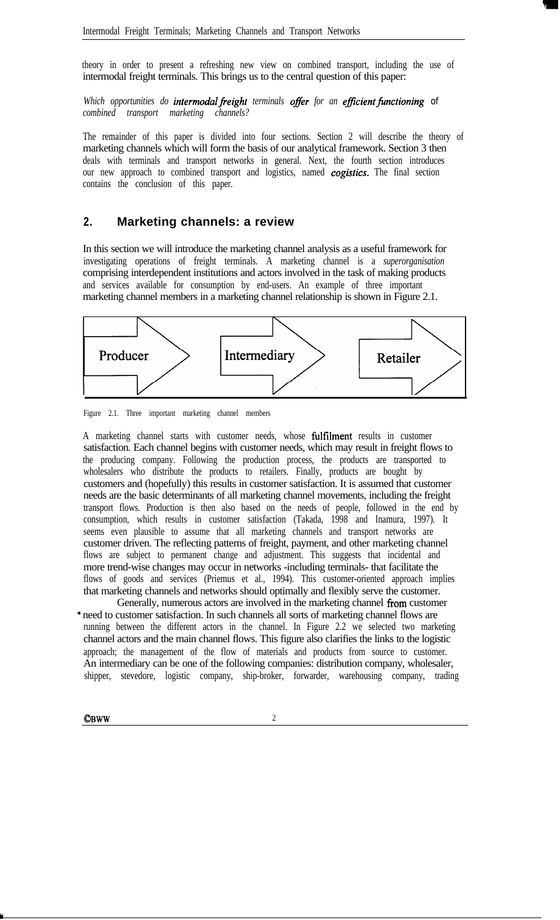theory in order to present a refreshing new view on combined transport, including the use of intermodal freight terminals. This brings us to the central question of this paper:

*Which opportunities do intermodal freight terminals offer for an efficient functioning of combined transport marketing channels?*

The remainder of this paper is divided into four sections. Section 2 will describe the theory of marketing channels which will form the basis of our analytical framework. Section 3 then deals with terminals and transport networks in general. Next, the fourth section introduces our new approach to combined transport and logistics, named *cogistics.* The final section contains the conclusion of this paper.

# **2. Marketing channels: a review**

In this section we will introduce the marketing channel analysis as a useful framework for investigating operations of freight terminals. A marketing channel is a *superorganisation* comprising interdependent institutions and actors involved in the task of making products and services available for consumption by end-users. An example of three important marketing channel members in a marketing channel relationship is shown in Figure 2.1.



Figure 2.1. Three important marketing channel members

A marketing channel starts with customer needs, whose fulfilment results in customer satisfaction. Each channel begins with customer needs, which may result in freight flows to the producing company. Following the production process, the products are transported to wholesalers who distribute the products to retailers. Finally, products are bought by customers and (hopefully) this results in customer satisfaction. It is assumed that customer needs are the basic determinants of all marketing channel movements, including the freight transport flows. Production is then also based on the needs of people, followed in the end by consumption, which results in customer satisfaction (Takada, 1998 and Inamura, 1997). It seems even plausible to assume that all marketing channels and transport networks are customer driven. The reflecting patterns of freight, payment, and other marketing channel flows are subject to permanent change and adjustment. This suggests that incidental and more trend-wise changes may occur in networks -including terminals- that facilitate the flows of goods and services (Priemus et al., 1994). This customer-oriented approach implies that marketing channels and networks should optimally and flexibly serve the customer.

Generally, numerous actors are involved in the marketing channel from customer a need to customer satisfaction. In such channels all sorts of marketing channel flows are running between the different actors in the channel. In Figure 2.2 we selected two marketing channel actors and the main channel flows. This figure also clarifies the links to the logistic approach; the management of the flow of materials and products from source to customer. An intermediary can be one of the following companies: distribution company, wholesaler, shipper, stevedore, logistic company, ship-broker, forwarder, warehousing company, trading

**CBWW** 2

Y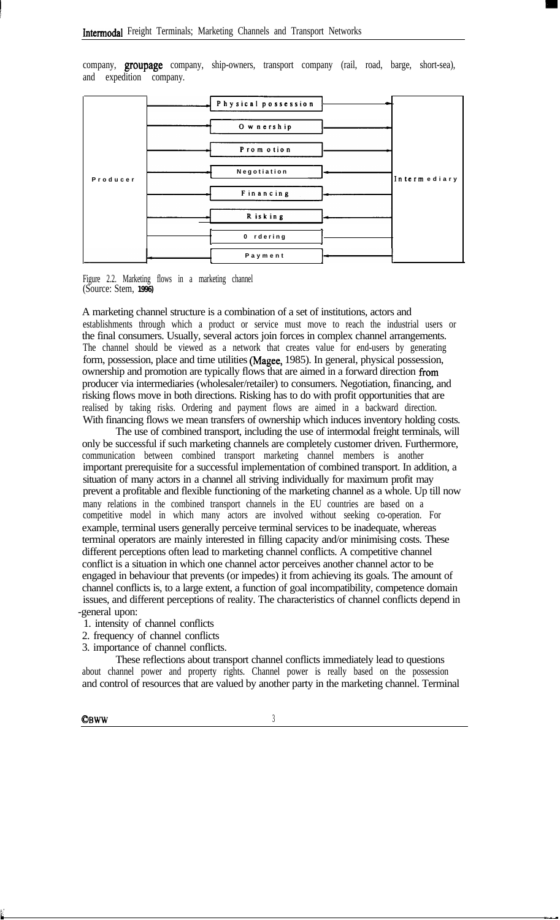company, groupage company, ship-owners, transport company (rail, road, barge, short-sea), and expedition company.

|          | Physical possession |              |
|----------|---------------------|--------------|
|          | O w nership         |              |
|          | Promotion           |              |
| Producer | Negotiation         | Intermediary |
|          | Financing           |              |
|          | R isk ing           |              |
|          | 0 rdering           |              |
|          | Payment             |              |
|          |                     |              |



A marketing channel structure is a combination of a set of institutions, actors and establishments through which a product or service must move to reach the industrial users or the final consumers. Usually, several actors join forces in complex channel arrangements. The channel should be viewed as a network that creates value for end-users by generating form, possession, place and time utilities (Magee, 1985). In general, physical possession, ownership and promotion are typically flows that are aimed in a forward direction from producer via intermediaries (wholesaler/retailer) to consumers. Negotiation, financing, and risking flows move in both directions. Risking has to do with profit opportunities that are realised by taking risks. Ordering and payment flows are aimed in a backward direction. With financing flows we mean transfers of ownership which induces inventory holding costs.

The use of combined transport, including the use of intermodal freight terminals, will only be successful if such marketing channels are completely customer driven. Furthermore, communication between combined transport marketing channel members is another important prerequisite for a successful implementation of combined transport. In addition, a situation of many actors in a channel all striving individually for maximum profit may prevent a profitable and flexible functioning of the marketing channel as a whole. Up till now many relations in the combined transport channels in the EU countries are based on a competitive model in which many actors are involved without seeking co-operation. For example, terminal users generally perceive terminal services to be inadequate, whereas terminal operators are mainly interested in filling capacity and/or minimising costs. These different perceptions often lead to marketing channel conflicts. A competitive channel conflict is a situation in which one channel actor perceives another channel actor to be engaged in behaviour that prevents (or impedes) it from achieving its goals. The amount of channel conflicts is, to a large extent, a function of goal incompatibility, competence domain issues, and different perceptions of reality. The characteristics of channel conflicts depend in -general upon:

- 1. intensity of channel conflicts
- 2. frequency of channel conflicts
- 3. importance of channel conflicts.

These reflections about transport channel conflicts immediately lead to questions about channel power and property rights. Channel power is really based on the possession and control of resources that are valued by another party in the marketing channel. Terminal

**OBWW** <sup>3</sup>

j'

t --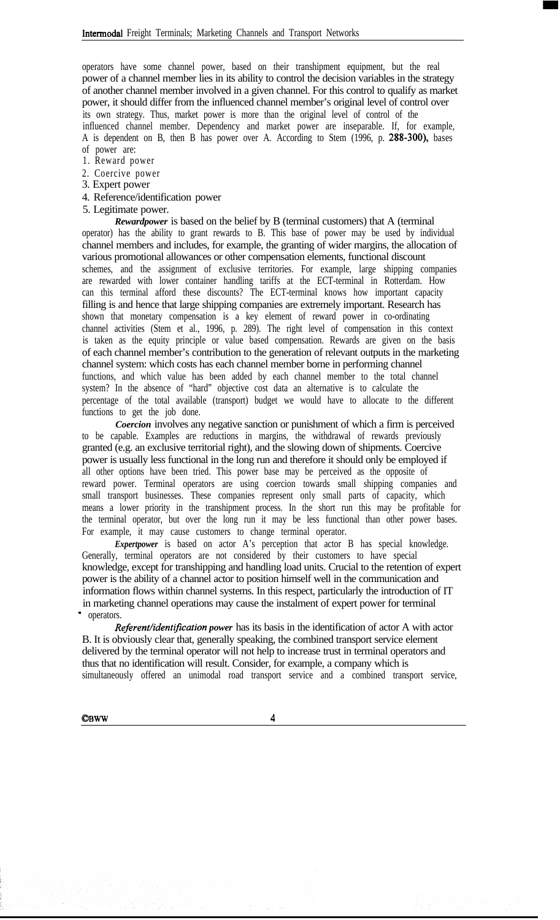operators have some channel power, based on their transhipment equipment, but the real power of a channel member lies in its ability to control the decision variables in the strategy of another channel member involved in a given channel. For this control to qualify as market power, it should differ from the influenced channel member's original level of control over its own strategy. Thus, market power is more than the original level of control of the influenced channel member. Dependency and market power are inseparable. If, for example, A is dependent on B, then B has power over A. According to Stem (1996, p. 288-300), bases of power are:

- 1. Reward power
- 2. Coercive power
- 3. Expert power
- 4. Reference/identification power
- 5. Legitimate power.

*Rewardpower* is based on the belief by B (terminal customers) that A (terminal operator) has the ability to grant rewards to B. This base of power may be used by individual channel members and includes, for example, the granting of wider margins, the allocation of various promotional allowances or other compensation elements, functional discount schemes, and the assignment of exclusive territories. For example, large shipping companies are rewarded with lower container handling tariffs at the ECT-terminal in Rotterdam. How can this terminal afford these discounts? The ECT-terminal knows how important capacity filling is and hence that large shipping companies are extremely important. Research has shown that monetary compensation is a key element of reward power in co-ordinating channel activities (Stem et al., 1996, p. 289). The right level of compensation in this context is taken as the equity principle or value based compensation. Rewards are given on the basis of each channel member's contribution to the generation of relevant outputs in the marketing channel system: which costs has each channel member borne in performing channel functions, and which value has been added by each channel member to the total channel system? In the absence of "hard" objective cost data an alternative is to calculate the percentage of the total available (transport) budget we would have to allocate to the different functions to get the job done.

*Coercion* involves any negative sanction or punishment of which a firm is perceived to be capable. Examples are reductions in margins, the withdrawal of rewards previously granted (e.g. an exclusive territorial right), and the slowing down of shipments. Coercive power is usually less functional in the long run and therefore it should only be employed if all other options have been tried. This power base may be perceived as the opposite of reward power. Terminal operators are using coercion towards small shipping companies and small transport businesses. These companies represent only small parts of capacity, which means a lower priority in the transhipment process. In the short run this may be profitable for the terminal operator, but over the long run it may be less functional than other power bases. For example, it may cause customers to change terminal operator.

*Expertpower* is based on actor A's perception that actor B has special knowledge. Generally, terminal operators are not considered by their customers to have special knowledge, except for transhipping and handling load units. Crucial to the retention of expert power is the ability of a channel actor to position himself well in the communication and information flows within channel systems. In this respect, particularly the introduction of IT in marketing channel operations may cause the instalment of expert power for terminal operators.

*Referent/identification power* has its basis in the identification of actor A with actor B. It is obviously clear that, generally speaking, the combined transport service element delivered by the terminal operator will not help to increase trust in terminal operators and thus that no identification will result. Consider, for example, a company which is simultaneously offered an unimodal road transport service and a combined transport service,

osww <sup>4</sup>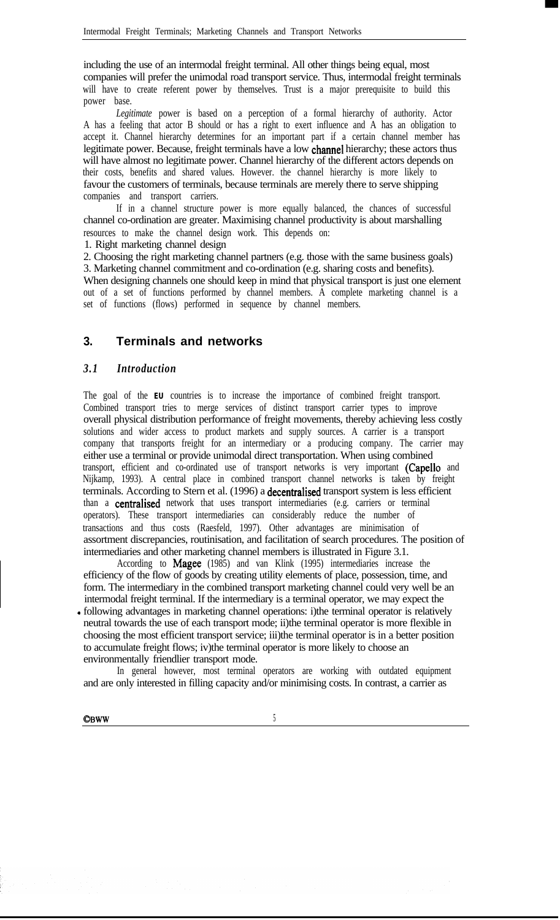including the use of an intermodal freight terminal. All other things being equal, most companies will prefer the unimodal road transport service. Thus, intermodal freight terminals will have to create referent power by themselves. Trust is a major prerequisite to build this power base.

*Legitimate* power is based on a perception of a formal hierarchy of authority. Actor A has a feeling that actor B should or has a right to exert influence and A has an obligation to accept it. Channel hierarchy determines for an important part if a certain channel member has legitimate power. Because, freight terminals have a low charmel hierarchy; these actors thus will have almost no legitimate power. Channel hierarchy of the different actors depends on their costs, benefits and shared values. However. the channel hierarchy is more likely to favour the customers of terminals, because terminals are merely there to serve shipping companies and transport carriers.

If in a channel structure power is more equally balanced, the chances of successful channel co-ordination are greater. Maximising channel productivity is about marshalling resources to make the channel design work. This depends on:

1. Right marketing channel design

2. Choosing the right marketing channel partners (e.g. those with the same business goals) 3. Marketing channel commitment and co-ordination (e.g. sharing costs and benefits). When designing channels one should keep in mind that physical transport is just one element out of a set of functions performed by channel members. A complete marketing channel is a set of functions (flows) performed in sequence by channel members.

# **3. Terminals and networks**

# *3.1 Introduction*

The goal of the **EU** countries is to increase the importance of combined freight transport. Combined transport tries to merge services of distinct transport carrier types to improve overall physical distribution performance of freight movements, thereby achieving less costly solutions and wider access to product markets and supply sources. A carrier is a transport company that transports freight for an intermediary or a producing company. The carrier may either use a terminal or provide unimodal direct transportation. When using combined transport, efficient and co-ordinated use of transport networks is very important (Cape110 and Nijkamp, 1993). A central place in combined transport channel networks is taken by freight terminals. According to Stern et al. (1996) a decentralised transport system is less efficient than a centralised network that uses transport intermediaries (e.g. carriers or terminal operators). These transport intermediaries can considerably reduce the number of transactions and thus costs (Raesfeld, 1997). Other advantages are minimisation of assortment discrepancies, routinisation, and facilitation of search procedures. The position of intermediaries and other marketing channel members is illustrated in Figure 3.1.

According to Magee (1985) and van Klink (1995) intermediaries increase the efficiency of the flow of goods by creating utility elements of place, possession, time, and form. The intermediary in the combined transport marketing channel could very well be an intermodal freight terminal. If the intermediary is a terminal operator, we may expect the - following advantages in marketing channel operations: i)the terminal operator is relatively neutral towards the use of each transport mode; ii)the terminal operator is more flexible in choosing the most efficient transport service; iii)the terminal operator is in a better position to accumulate freight flows; iv)the terminal operator is more likely to choose an environmentally friendlier transport mode.

In general however, most terminal operators are working with outdated equipment and are only interested in filling capacity and/or minimising costs. In contrast, a carrier as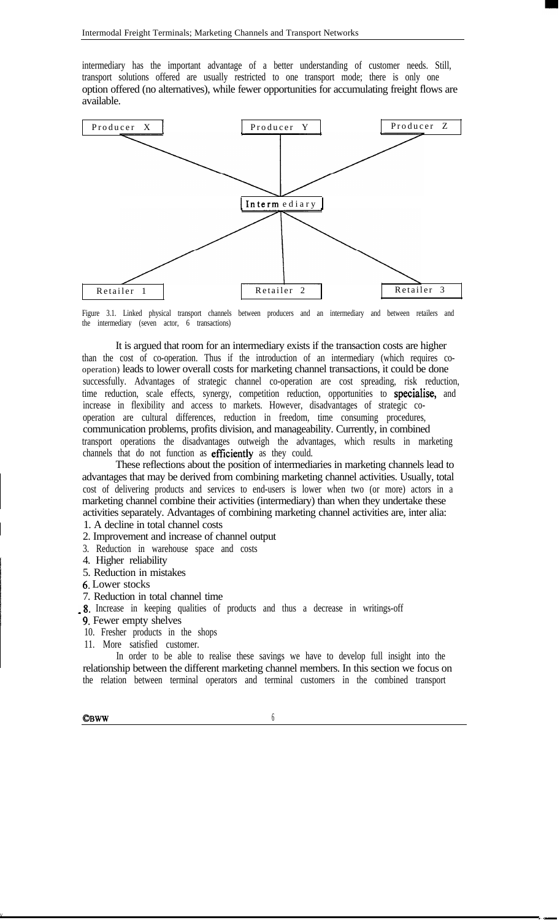intermediary has the important advantage of a better understanding of customer needs. Still, transport solutions offered are usually restricted to one transport mode; there is only one option offered (no alternatives), while fewer opportunities for accumulating freight flows are available.



Figure 3.1. Linked physical transport channels between producers and an intermediary and between retailers and the intermediary (seven actor, 6 transactions)

It is argued that room for an intermediary exists if the transaction costs are higher than the cost of co-operation. Thus if the introduction of an intermediary (which requires cooperation) leads to lower overall costs for marketing channel transactions, it could be done successfully. Advantages of strategic channel co-operation are cost spreading, risk reduction, time reduction, scale effects, synergy, competition reduction, opportunities to specialise, and increase in flexibility and access to markets. However, disadvantages of strategic cooperation are cultural differences, reduction in freedom, time consuming procedures, communication problems, profits division, and manageability. Currently, in combined transport operations the disadvantages outweigh the advantages, which results in marketing channels that do not function as efficiently as they could.

These reflections about the position of intermediaries in marketing channels lead to advantages that may be derived from combining marketing channel activities. Usually, total cost of delivering products and services to end-users is lower when two (or more) actors in a marketing channel combine their activities (intermediary) than when they undertake these activities separately. Advantages of combining marketing channel activities are, inter alia:

1. A decline in total channel costs

- 2. Improvement and increase of channel output
- 3. Reduction in warehouse space and costs
- 4. Higher reliability
- 5. Reduction in mistakes
- 6. Lower stocks
- 7. Reduction in total channel time
- -8. Increase in keeping qualities of products and thus a decrease in writings-off
- 9. Fewer empty shelves
- 10. Fresher products in the shops
- 11. More satisfied customer.

In order to be able to realise these savings we have to develop full insight into the relationship between the different marketing channel members. In this section we focus on the relation between terminal operators and terminal customers in the combined transport

 **6** 

 $\mathbf v$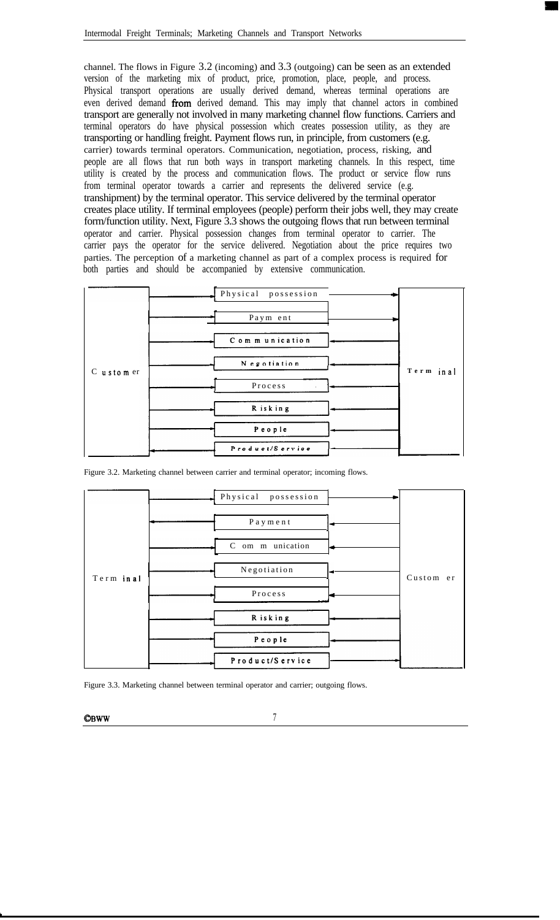channel. The flows in Figure 3.2 (incoming) and 3.3 (outgoing) can be seen as an extended version of the marketing mix of product, price, promotion, place, people, and process. Physical transport operations are usually derived demand, whereas terminal operations are even derived demand from derived demand. This may imply that channel actors in combined transport are generally not involved in many marketing channel flow functions. Carriers and terminal operators do have physical possession which creates possession utility, as they are transporting or handling freight. Payment flows run, in principle, from customers (e.g. carrier) towards terminal operators. Communication, negotiation, process, risking, and people are all flows that run both ways in transport marketing channels. In this respect, time utility is created by the process and communication flows. The product or service flow runs from terminal operator towards a carrier and represents the delivered service (e.g. transhipment) by the terminal operator. This service delivered by the terminal operator creates place utility. If terminal employees (people) perform their jobs well, they may create form/function utility. Next, Figure 3.3 shows the outgoing flows that run between terminal operator and carrier. Physical possession changes from terminal operator to carrier. The carrier pays the operator for the service delivered. Negotiation about the price requires two parties. The perception of a marketing channel as part of a complex process is required for both parties and should be accompanied by extensive communication.

|           | Physical possession |           |
|-----------|---------------------|-----------|
|           | Paym ent            |           |
|           | Communication       |           |
| C ustomer | N egotiation        | Term inal |
|           | Process             |           |
|           | R isk ing           |           |
|           | People              |           |
|           | Product/Service     |           |

|            | Physical possession |           |
|------------|---------------------|-----------|
|            | Payment             |           |
|            | C om m unication    |           |
| Term in al | Negotiation         | Custom er |
|            | Process             |           |
|            | Risking             |           |
|            | People              |           |
|            | Product/Service     |           |

Figure 3.2. Marketing channel between carrier and terminal operator; incoming flows.

Figure 3.3. Marketing channel between terminal operator and carrier; outgoing flows.

 $\mathbb{C}$ BWW 7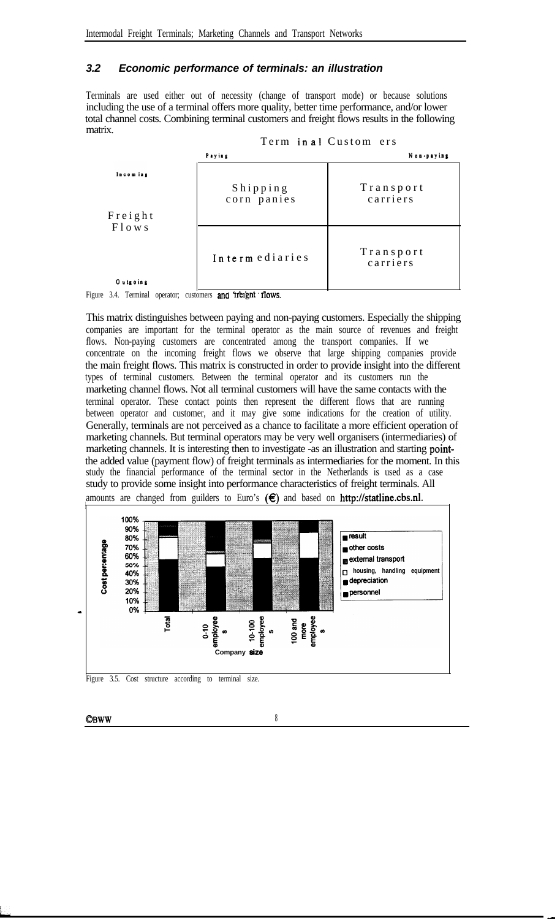## *3.2 Economic performance of terminals: an illustration*

Terminals are used either out of necessity (change of transport mode) or because solutions including the use of a terminal offers more quality, better time performance, and/or lower total channel costs. Combining terminal customers and freight flows results in the following matrix.



This matrix distinguishes between paying and non-paying customers. Especially the shipping companies are important for the terminal operator as the main source of revenues and freight flows. Non-paying customers are concentrated among the transport companies. If we concentrate on the incoming freight flows we observe that large shipping companies provide the main freight flows. This matrix is constructed in order to provide insight into the different types of terminal customers. Between the terminal operator and its customers run the marketing channel flows. Not all terminal customers will have the same contacts with the terminal operator. These contact points then represent the different flows that are running between operator and customer, and it may give some indications for the creation of utility. Generally, terminals are not perceived as a chance to facilitate a more efficient operation of marketing channels. But terminal operators may be very well organisers (intermediaries) of marketing channels. It is interesting then to investigate -as an illustration and starting pointthe added value (payment flow) of freight terminals as intermediaries for the moment. In this study the financial performance of the terminal sector in the Netherlands is used as a case study to provide some insight into performance characteristics of freight terminals. All amounts are changed from guilders to Euro's  $(\epsilon)$  and based on http://statline.cbs.nl.



 $\bullet$  BWW 8

-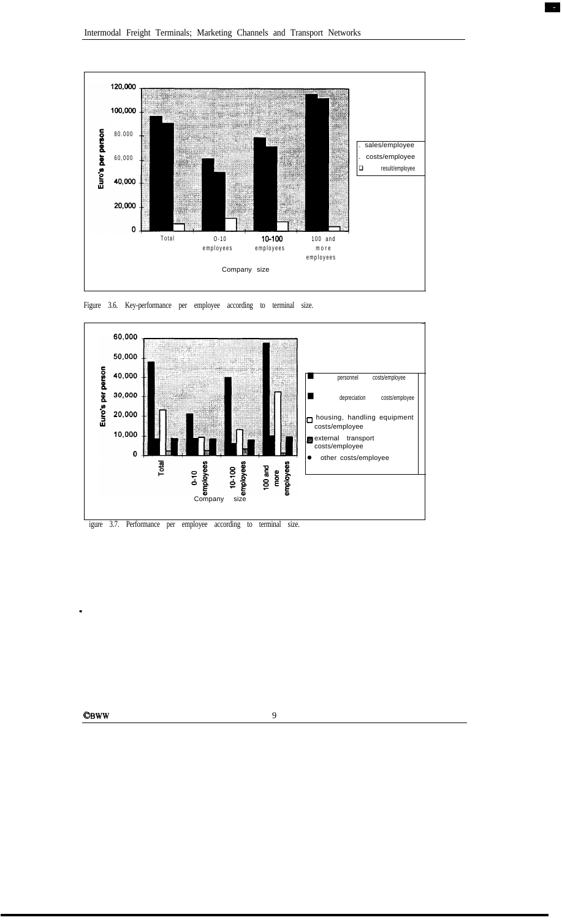



Figure 3.6. Key-performance per employee according to terminal size.



 $\bullet$ BWW 9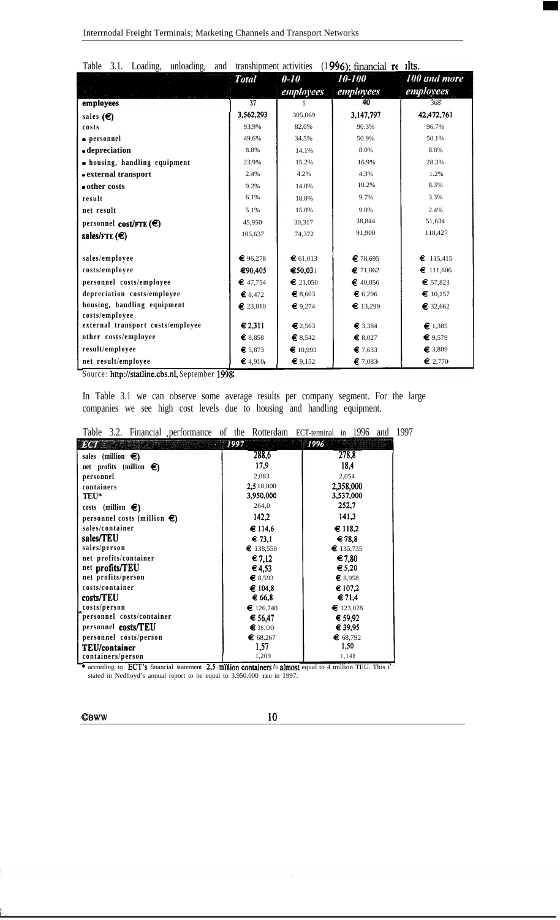| 3.1.<br>Table<br>Loading,<br>unloading,<br>and | transhipment activities |                   | $(1996)$ ; financial re | ilts.            |
|------------------------------------------------|-------------------------|-------------------|-------------------------|------------------|
|                                                | <b>Total</b>            | $0 - 10$          | 10-100                  | 100 and more     |
|                                                |                         | employees         | employees               | <i>employees</i> |
| employees                                      | $\overline{37}$         | 5                 | 40                      | 368              |
| sales $(\epsilon)$                             | 3,562,293               | 305,069           | 3,147,797               | 42,472,761       |
| costs                                          | 93.9%                   | 82.0%             | 90.3%                   | 96.7%            |
| • personnel                                    | 49.6%                   | 34.5%             | 50.9%                   | 50.1%            |
| -depreciation                                  | 8.8%                    | 14.1%             | 8.0%                    | 8.8%             |
| • housing, handling equipment                  | 23.9%                   | 15.2%             | 16.9%                   | 28.3%            |
| - external transport                           | 2.4%                    | 4.2%              | 4.3%                    | 1.2%             |
| other costs                                    | 9.2%                    | 14.0%             | 10.2%                   | 8.3%             |
| result                                         | 6.1%                    | 18.0%             | 9.7%                    | 3.3%             |
| net result                                     | 5.1%                    | 15.0%             | 9.0%                    | 2.4%             |
| personnel cost/FTE $(\epsilon)$                | 45,950                  | 30,317            | 38,844                  | 51,634           |
| sales/FTE $(\epsilon)$                         | 105,637                 | 74,372            | 91,900                  | 118,427          |
|                                                |                         |                   |                         |                  |
| sales/employee                                 | € 96,278                | € 61,013          | € 78,695                | €<br>115,415     |
| costs/employee                                 | €90,405                 | €50,031           | \$71,062                | \$111,606        |
| personnel costs/employee                       | \$47,754                | $\epsilon$ 21,050 | \$40,056                | € 57,823         |
| depreciation costs/employee                    | \$8.472                 | € 8,603           | \$6,296                 | \$10,157         |
| housing, handling equipment                    | \$23,010                | € 9,274           | \$13,299                | \$32,662         |
| costs/employee                                 |                         |                   |                         |                  |
| external transport costs/employee              | € 2,311                 | € 2,563           | € 3,384                 | \$1,385          |
| other costs/employee                           | \$8,858                 | \$8,542           | \$8,027                 | € $9,579$        |
| result/employee                                | € 5.873                 | \$10,993          | \$7,633                 | \$3,809          |
| net result/employee                            | 64.910                  | \$9,152           | \$7,083                 | $\epsilon$ 2,770 |

Source: **http://statline.cbs.nl,** September **1998** 

In Table 3.1 we can observe some average results per company segment. For the large companies we see high cost levels due to housing and handling equipment.

|  | Table 3.2. Financial performance of the Rotterdam ECT-terminal in 1996 and 1997 |  |  |  |  |
|--|---------------------------------------------------------------------------------|--|--|--|--|
|  |                                                                                 |  |  |  |  |

| <b>1941</b>                           | 1997               | I996-              |
|---------------------------------------|--------------------|--------------------|
| sales (million $\epsilon$ )           | 288,6              | 278,8              |
| net profits (million $\epsilon$ )     | 17.9               | 18,4               |
| personnel                             | 2,083              | 2,054              |
| containers                            | 2,5 18,000         | 2,358,000          |
| TEU*                                  | 3,950,000          | 3,537,000          |
| costs (million $\epsilon$ )           | 264,0              | 252,7              |
| personnel costs (million $\epsilon$ ) | 142,2              | 141,3              |
| sales/container                       | € 114.6            | € 118,2            |
| sales/TEU                             | $\epsilon$ 73,1    | $\epsilon$ 78.8    |
| sales/person                          | \$138,550          | \$135,735          |
| net profits/container                 | € 7,12             | € 7,80             |
| net profits/TEU                       | $\epsilon$ 4.53    | $\epsilon$ 5.20    |
| net profits/person                    | € 8.593            | $\epsilon$ 8,958   |
| costs/container                       | € 104,8            | € 107,2            |
| costs/TEU                             | € 66,8             | $\epsilon$ 71,4    |
| costs/person                          | $\epsilon$ 126,740 | $\epsilon$ 123,028 |
| personnel costs/container             | € 56,47            | $\epsilon$ 59.92   |
| personnel costs/TEU                   | € 36,00            | € 39,95            |
| personnel costs/person                | \$68,267           | € $68,792$         |
| <b>TEU/container</b>                  | 1,57               | 1,50               |
| containers/person                     | 1,209              | 1,148              |

\* according to **ECT**'s financial statement 2,5  $\parallel$ **lion containers** is **almost** equal to 4 million TEU. This i stated in Nedlloyd's annual report to be equal to 3.950.000 **TEU** in 1997.

**osww <sup>10</sup>**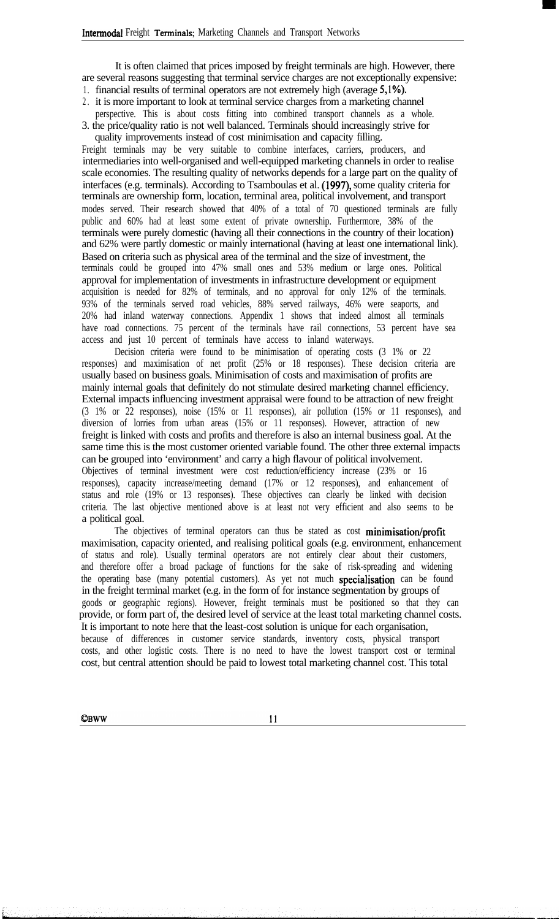It is often claimed that prices imposed by freight terminals are high. However, there are several reasons suggesting that terminal service charges are not exceptionally expensive: 1. financial results of terminal operators are not extremely high (average 5,1%).

2 . it is more important to look at terminal service charges from a marketing channel

perspective. This is about costs fitting into combined transport channels as a whole.

3. the price/quality ratio is not well balanced. Terminals should increasingly strive for quality improvements instead of cost minimisation and capacity filling.

Freight terminals may be very suitable to combine interfaces, carriers, producers, and intermediaries into well-organised and well-equipped marketing channels in order to realise scale economies. The resulting quality of networks depends for a large part on the quality of interfaces (e.g. terminals). According to Tsamboulas et al. (1997), some quality criteria for terminals are ownership form, location, terminal area, political involvement, and transport modes served. Their research showed that 40% of a total of 70 questioned terminals are fully public and 60% had at least some extent of private ownership. Furthermore, 38% of the terminals were purely domestic (having all their connections in the country of their location) and 62% were partly domestic or mainly international (having at least one international link). Based on criteria such as physical area of the terminal and the size of investment, the terminals could be grouped into 47% small ones and 53% medium or large ones. Political approval for implementation of investments in infrastructure development or equipment acquisition is needed for 82% of terminals, and no approval for only 12% of the terminals. 93% of the terminals served road vehicles, 88% served railways, 46% were seaports, and 20% had inland waterway connections. Appendix 1 shows that indeed almost all terminals have road connections. 75 percent of the terminals have rail connections, 53 percent have sea access and just 10 percent of terminals have access to inland waterways.

Decision criteria were found to be minimisation of operating costs (3 1% or 22 responses) and maximisation of net profit (25% or 18 responses). These decision criteria are usually based on business goals. Minimisation of costs and maximisation of profits are mainly internal goals that definitely do not stimulate desired marketing channel efficiency. External impacts influencing investment appraisal were found to be attraction of new freight (3 1% or 22 responses), noise (15% or 11 responses), air pollution (15% or 11 responses), and diversion of lorries from urban areas (15% or 11 responses). However, attraction of new freight is linked with costs and profits and therefore is also an internal business goal. At the same time this is the most customer oriented variable found. The other three external impacts can be grouped into 'environment' and carry a high flavour of political involvement. Objectives of terminal investment were cost reduction/efficiency increase (23% or 16 responses), capacity increase/meeting demand (17% or 12 responses), and enhancement of status and role (19% or 13 responses). These objectives can clearly be linked with decision criteria. The last objective mentioned above is at least not very efficient and also seems to be a political goal.

The objectives of terminal operators can thus be stated as cost minimisation/profit maximisation, capacity oriented, and realising political goals (e.g. environment, enhancement of status and role). Usually terminal operators are not entirely clear about their customers, and therefore offer a broad package of functions for the sake of risk-spreading and widening the operating base (many potential customers). As yet not much **specialisation** can be found in the freight terminal market (e.g. in the form of for instance segmentation by groups of goods or geographic regions). However, freight terminals must be positioned so that they can provide, or form part of, the desired level of service at the least total marketing channel costs. It is important to note here that the least-cost solution is unique for each organisation, because of differences in customer service standards, inventory costs, physical transport costs, and other logistic costs. There is no need to have the lowest transport cost or terminal cost, but central attention should be paid to lowest total marketing channel cost. This total

**CBWW** 

 $11$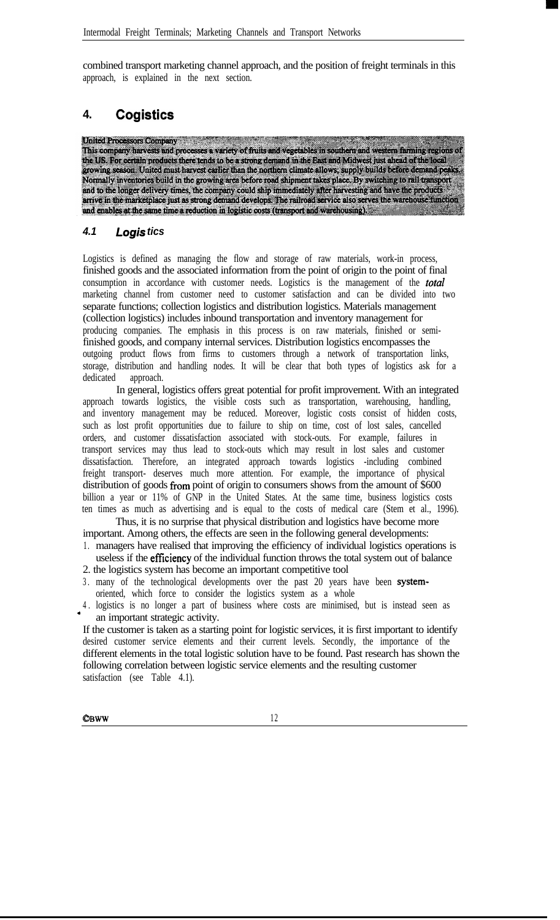combined transport marketing channel approach, and the position of freight terminals in this approach, is explained in the next section.

# **4. Cogistics**

**United Processors Company** This company harvests and processes a variety of fruits and vegetables in southern and western farming regions of the US. For certain products there tends to be a strong demand in the East and Midwest just ahead of the local<br>growing season. United must harvest earlier than the northern climate allows; supply builds before demand peaks Normally inventories build in the growing area before road shipment takes place. By switching to rail transport and to the longer delivery times, the company could ship immediately after harvesting and have the products arrive in the marketplace just as strong demand develops. The railroad service also serves the warehouse function and enables at the same time a reduction in logistic costs (transport and warehousing).

## *4.1 Logis tics*

Logistics is defined as managing the flow and storage of raw materials, work-in process, finished goods and the associated information from the point of origin to the point of final consumption in accordance with customer needs. Logistics is the management of the *total* marketing channel from customer need to customer satisfaction and can be divided into two separate functions; collection logistics and distribution logistics. Materials management (collection logistics) includes inbound transportation and inventory management for producing companies. The emphasis in this process is on raw materials, finished or semifinished goods, and company internal services. Distribution logistics encompasses the outgoing product flows from firms to customers through a network of transportation links, storage, distribution and handling nodes. It will be clear that both types of logistics ask for a dedicated approach.

In general, logistics offers great potential for profit improvement. With an integrated approach towards logistics, the visible costs such as transportation, warehousing, handling, and inventory management may be reduced. Moreover, logistic costs consist of hidden costs, such as lost profit opportunities due to failure to ship on time, cost of lost sales, cancelled orders, and customer dissatisfaction associated with stock-outs. For example, failures in transport services may thus lead to stock-outs which may result in lost sales and customer dissatisfaction. Therefore, an integrated approach towards logistics -including combined freight transport- deserves much more attention. For example, the importance of physical distribution of goods from point of origin to consumers shows from the amount of \$600 billion a year or 11% of GNP in the United States. At the same time, business logistics costs ten times as much as advertising and is equal to the costs of medical care (Stem et al., 1996).

Thus, it is no surprise that physical distribution and logistics have become more important. Among others, the effects are seen in the following general developments:

- 1 . managers have realised that improving the efficiency of individual logistics operations is useless if the efficiency of the individual function throws the total system out of balance 2. the logistics system has become an important competitive tool
- 3 . many of the technological developments over the past 20 years have been systemoriented, which force to consider the logistics system as a whole
- 4 . logistics is no longer a part of business where costs are minimised, but is instead seen as <sup>a</sup> an important strategic activity.

If the customer is taken as a starting point for logistic services, it is first important to identify desired customer service elements and their current levels. Secondly, the importance of the different elements in the total logistic solution have to be found. Past research has shown the following correlation between logistic service elements and the resulting customer satisfaction (see Table 4.1).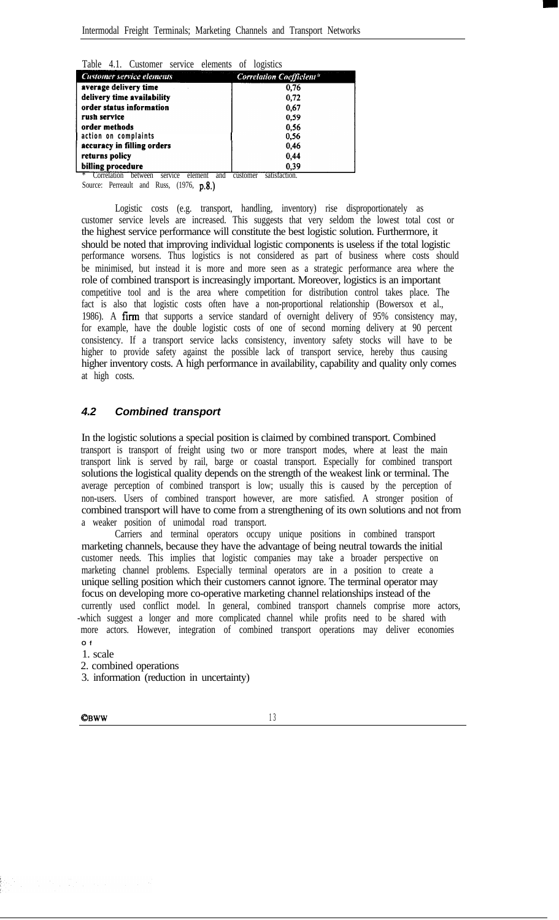|  | Table 4.1. Customer service elements of logistics |  |  |
|--|---------------------------------------------------|--|--|
|  |                                                   |  |  |

| <b>Customer service elements</b>                                                                                         | <b>Correlation Coefficient*</b>     |
|--------------------------------------------------------------------------------------------------------------------------|-------------------------------------|
| average delivery time                                                                                                    | 0.76                                |
| delivery time availability                                                                                               | 0.72                                |
| order status information                                                                                                 | 0.67                                |
| rush service                                                                                                             | 0.59                                |
| order methods                                                                                                            | 0.56                                |
| action on complaints                                                                                                     | 0.56                                |
| accuracy in filling orders                                                                                               | 0.46                                |
| returns policy                                                                                                           | 0,44                                |
| billing procedure<br>$\mathcal{L}$ . Consider the second contract of the second contract of $\mathcal{L}$<br>$-1$<br>. 1 | 0.39<br>$-1$ . $-1$ . $-1$ . $-1$ . |

Correlation between service element and customer satisfaction.

Source: Perreault and Russ, (1976, p.8.)

Logistic costs (e.g. transport, handling, inventory) rise disproportionately as customer service levels are increased. This suggests that very seldom the lowest total cost or the highest service performance will constitute the best logistic solution. Furthermore, it should be noted that improving individual logistic components is useless if the total logistic performance worsens. Thus logistics is not considered as part of business where costs should be minimised, but instead it is more and more seen as a strategic performance area where the role of combined transport is increasingly important. Moreover, logistics is an important competitive tool and is the area where competition for distribution control takes place. The fact is also that logistic costs often have a non-proportional relationship (Bowersox et al., 1986). A firm that supports a service standard of overnight delivery of 95% consistency may, for example, have the double logistic costs of one of second morning delivery at 90 percent consistency. If a transport service lacks consistency, inventory safety stocks will have to be higher to provide safety against the possible lack of transport service, hereby thus causing higher inventory costs. A high performance in availability, capability and quality only comes at high costs.

## *4.2 Combined transport*

In the logistic solutions a special position is claimed by combined transport. Combined transport is transport of freight using two or more transport modes, where at least the main transport link is served by rail, barge or coastal transport. Especially for combined transport solutions the logistical quality depends on the strength of the weakest link or terminal. The average perception of combined transport is low; usually this is caused by the perception of non-users. Users of combined transport however, are more satisfied. A stronger position of combined transport will have to come from a strengthening of its own solutions and not from a weaker position of unimodal road transport.

Carriers and terminal operators occupy unique positions in combined transport marketing channels, because they have the advantage of being neutral towards the initial customer needs. This implies that logistic companies may take a broader perspective on marketing channel problems. Especially terminal operators are in a position to create a unique selling position which their customers cannot ignore. The terminal operator may focus on developing more co-operative marketing channel relationships instead of the currently used conflict model. In general, combined transport channels comprise more actors, -which suggest a longer and more complicated channel while profits need to be shared with more actors. However, integration of combined transport operations may deliver economies **O f**

1. scale

2. combined operations

3. information (reduction in uncertainty)

**CBWW** 13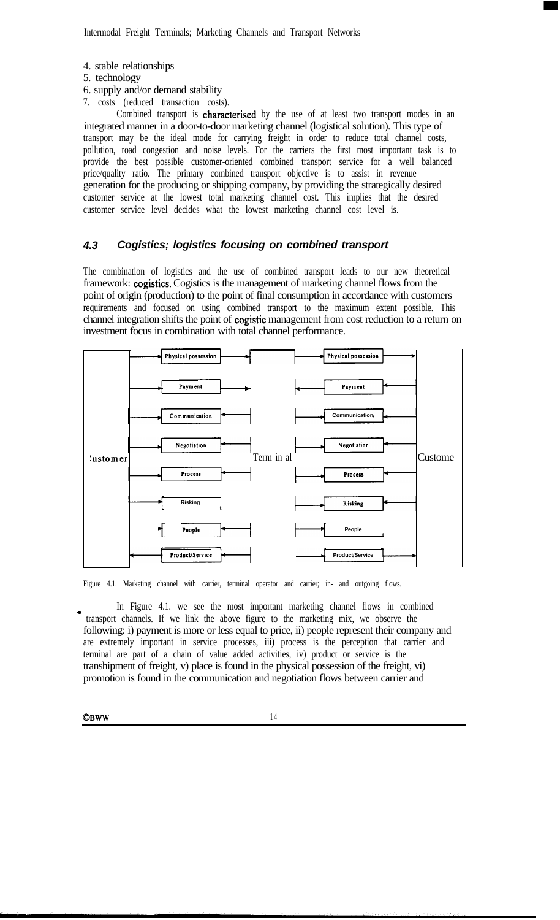- 4. stable relationships
- 5. technology
- 6. supply and/or demand stability
- 7. costs (reduced transaction costs).

Combined transport is characterised by the use of at least two transport modes in an integrated manner in a door-to-door marketing channel (logistical solution). This type of transport may be the ideal mode for carrying freight in order to reduce total channel costs, pollution, road congestion and noise levels. For the carriers the first most important task is to provide the best possible customer-oriented combined transport service for a well balanced price/quality ratio. The primary combined transport objective is to assist in revenue generation for the producing or shipping company, by providing the strategically desired customer service at the lowest total marketing channel cost. This implies that the desired customer service level decides what the lowest marketing channel cost level is.

#### *4.3 Cogistics; logistics focusing on combined transport*

The combination of logistics and the use of combined transport leads to our new theoretical framework: cogistics. Cogistics is the management of marketing channel flows from the point of origin (production) to the point of final consumption in accordance with customers requirements and focused on using combined transport to the maximum extent possible. This channel integration shifts the point of cogistic management from cost reduction to a return on investment focus in combination with total channel performance.



Figure 4.1. Marketing channel with carrier, terminal operator and carrier; in- and outgoing flows.

In Figure 4.1. we see the most important marketing channel flows in combined transport channels. If we link the above figure to the marketing mix, we observe the following: i) payment is more or less equal to price, ii) people represent their company and are extremely important in service processes, iii) process is the perception that carrier and terminal are part of a chain of value added activities, iv) product or service is the transhipment of freight, v) place is found in the physical possession of the freight, vi) promotion is found in the communication and negotiation flows between carrier and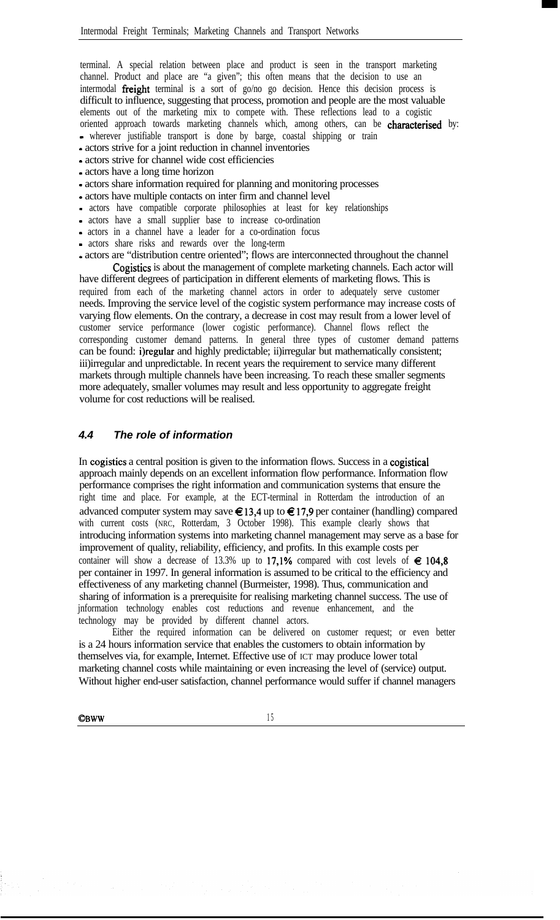terminal. A special relation between place and product is seen in the transport marketing channel. Product and place are "a given"; this often means that the decision to use an intermodal **freight** terminal is a sort of go/no go decision. Hence this decision process is difficult to influence, suggesting that process, promotion and people are the most valuable elements out of the marketing mix to compete with. These reflections lead to a cogistic oriented approach towards marketing channels which, among others, can be characterised by: - wherever justifiable transport is done by barge, coastal shipping or train

- actors strive for a joint reduction in channel inventories
- actors strive for channel wide cost efficiencies
- actors have a long time horizon
- actors share information required for planning and monitoring processes
- actors have multiple contacts on inter firm and channel level
- actors have compatible corporate philosophies at least for key relationships
- actors have a small supplier base to increase co-ordination
- actors in a channel have a leader for a co-ordination focus
- actors share risks and rewards over the long-term
- actors are "distribution centre oriented"; flows are interconnected throughout the channel Cogistics is about the management of complete marketing channels. Each actor will

have different degrees of participation in different elements of marketing flows. This is required from each of the marketing channel actors in order to adequately serve customer needs. Improving the service level of the cogistic system performance may increase costs of varying flow elements. On the contrary, a decrease in cost may result from a lower level of customer service performance (lower cogistic performance). Channel flows reflect the corresponding customer demand patterns. In general three types of customer demand patterns can be found: i)regular and highly predictable; ii)irregular but mathematically consistent; iii)irregular and unpredictable. In recent years the requirement to service many different markets through multiple channels have been increasing. To reach these smaller segments more adequately, smaller volumes may result and less opportunity to aggregate freight volume for cost reductions will be realised.

#### *4.4 The role of information*

In cogistics a central position is given to the information flows. Success in a cogistical approach mainly depends on an excellent information flow performance. Information flow performance comprises the right information and communication systems that ensure the right time and place. For example, at the ECT-terminal in Rotterdam the introduction of an advanced computer system may save  $\epsilon$  13,4 up to  $\epsilon$  17,9 per container (handling) compared with current costs (NRC, Rotterdam, 3 October 1998). This example clearly shows that introducing information systems into marketing channel management may serve as a base for improvement of quality, reliability, efficiency, and profits. In this example costs per container will show a decrease of 13.3% up to 17,1% compared with cost levels of  $\epsilon$  104,8 per container in 1997. In general information is assumed to be critical to the efficiency and effectiveness of any marketing channel (Burmeister, 1998). Thus, communication and sharing of information is a prerequisite for realising marketing channel success. The use of jnformation technology enables cost reductions and revenue enhancement, and the technology may be provided by different channel actors.

Either the required information can be delivered on customer request; or even better is a 24 hours information service that enables the customers to obtain information by themselves via, for example, Internet. Effective use of ICT may produce lower total marketing channel costs while maintaining or even increasing the level of (service) output. Without higher end-user satisfaction, channel performance would suffer if channel managers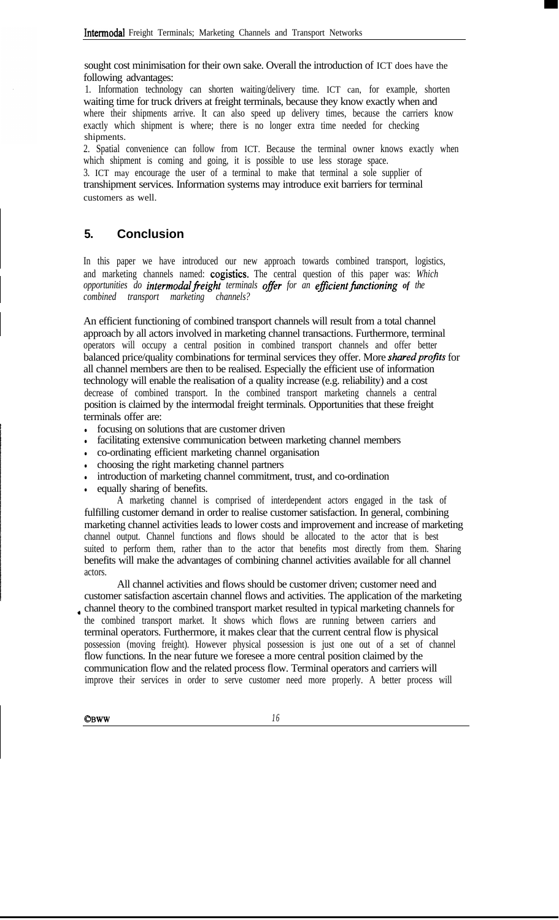sought cost minimisation for their own sake. Overall the introduction of ICT does have the following advantages:

1. Information technology can shorten waiting/delivery time. ICT can, for example, shorten waiting time for truck drivers at freight terminals, because they know exactly when and where their shipments arrive. It can also speed up delivery times, because the carriers know exactly which shipment is where; there is no longer extra time needed for checking shipments.

2. Spatial convenience can follow from ICT. Because the terminal owner knows exactly when which shipment is coming and going, it is possible to use less storage space.

3. ICT may encourage the user of a terminal to make that terminal a sole supplier of transhipment services. Information systems may introduce exit barriers for terminal customers as well.

# **5. Conclusion**

In this paper we have introduced our new approach towards combined transport, logistics, and marketing channels named: cogistics. The central question of this paper was: *Which opportunities do intermodalfreight terminals ofJeer for an efJicient\$mctioning of the combined transport marketing channels?*

An efficient functioning of combined transport channels will result from a total channel approach by all actors involved in marketing channel transactions. Furthermore, terminal operators will occupy a central position in combined transport channels and offer better balanced price/quality combinations for terminal services they offer. More *shared profits* for all channel members are then to be realised. Especially the efficient use of information technology will enable the realisation of a quality increase (e.g. reliability) and a cost decrease of combined transport. In the combined transport marketing channels a central position is claimed by the intermodal freight terminals. Opportunities that these freight terminals offer are:

- focusing on solutions that are customer driven
- facilitating extensive communication between marketing channel members
- co-ordinating efficient marketing channel organisation
- <sup>l</sup> choosing the right marketing channel partners
- introduction of marketing channel commitment, trust, and co-ordination
- equally sharing of benefits.

A marketing channel is comprised of interdependent actors engaged in the task of fulfilling customer demand in order to realise customer satisfaction. In general, combining marketing channel activities leads to lower costs and improvement and increase of marketing channel output. Channel functions and flows should be allocated to the actor that is best suited to perform them, rather than to the actor that benefits most directly from them. Sharing benefits will make the advantages of combining channel activities available for all channel actors.

All channel activities and flows should be customer driven; customer need and customer satisfaction ascertain channel flows and activities. The application of the marketing <sup>a</sup> channel theory to the combined transport market resulted in typical marketing channels for the combined transport market. It shows which flows are running between carriers and terminal operators. Furthermore, it makes clear that the current central flow is physical possession (moving freight). However physical possession is just one out of a set of channel flow functions. In the near future we foresee a more central position claimed by the communication flow and the related process flow. Terminal operators and carriers will improve their services in order to serve customer need more properly. A better process will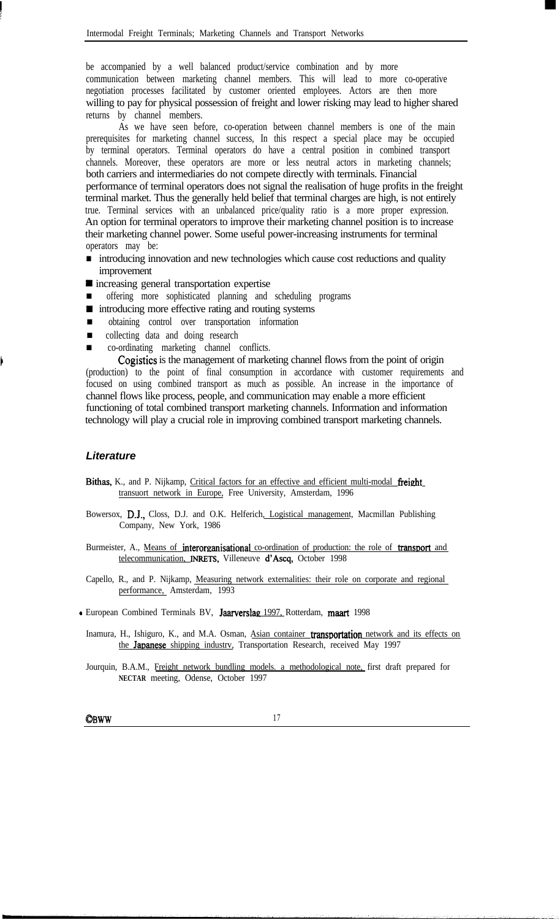be accompanied by a well balanced product/service combination and by more communication between marketing channel members. This will lead to more co-operative negotiation processes facilitated by customer oriented employees. Actors are then more willing to pay for physical possession of freight and lower risking may lead to higher shared returns by channel members.

As we have seen before, co-operation between channel members is one of the main prerequisites for marketing channel success, In this respect a special place may be occupied by terminal operators. Terminal operators do have a central position in combined transport channels. Moreover, these operators are more or less neutral actors in marketing channels; both carriers and intermediaries do not compete directly with terminals. Financial performance of terminal operators does not signal the realisation of huge profits in the freight terminal market. Thus the generally held belief that terminal charges are high, is not entirely true. Terminal services with an unbalanced price/quality ratio is a more proper expression. An option for terminal operators to improve their marketing channel position is to increase their marketing channel power. Some useful power-increasing instruments for terminal operators may be:

- introducing innovation and new technologies which cause cost reductions and quality improvement
- $\blacksquare$  increasing general transportation expertise
- n offering more sophisticated planning and scheduling programs
- $\blacksquare$  introducing more effective rating and routing systems
- n obtaining control over transportation information
- collecting data and doing research
- n co-ordinating marketing channel conflicts.

Cogistics is the management of marketing channel flows from the point of origin (production) to the point of final consumption in accordance with customer requirements and focused on using combined transport as much as possible. An increase in the importance of channel flows like process, people, and communication may enable a more efficient functioning of total combined transport marketing channels. Information and information technology will play a crucial role in improving combined transport marketing channels.

#### *Literature*

c

- Bithas, K., and P. Nijkamp, Critical factors for an effective and efficient multi-modal freight transuort network in Europe, Free University, Amsterdam, 1996
- Bowersox, D.J., Closs, D.J. and O.K. Helferich, Logistical management, Macmillan Publishing Company, New York, 1986
- Burmeister, A., Means of interorganisational co-ordination of production: the role of transport and telecommunication, **INRETS,** Villeneuve d'Ascq, October 1998
- Capello, R., and P. Nijkamp, Measuring network externalities: their role on corporate and regional performance, Amsterdam, 1993

- European Combined Terminals BV, Jaarverslag 1997, Rotterdam, maart 1998

- Inamura, H., Ishiguro, K., and M.A. Osman, Asian container transportation network and its effects on the Japanese shipping industry, Transportation Research, received May 1997
- Jourquin, B.A.M., Freight network bundling models. a methodological note, first draft prepared for **NECTAR** meeting, Odense, October 1997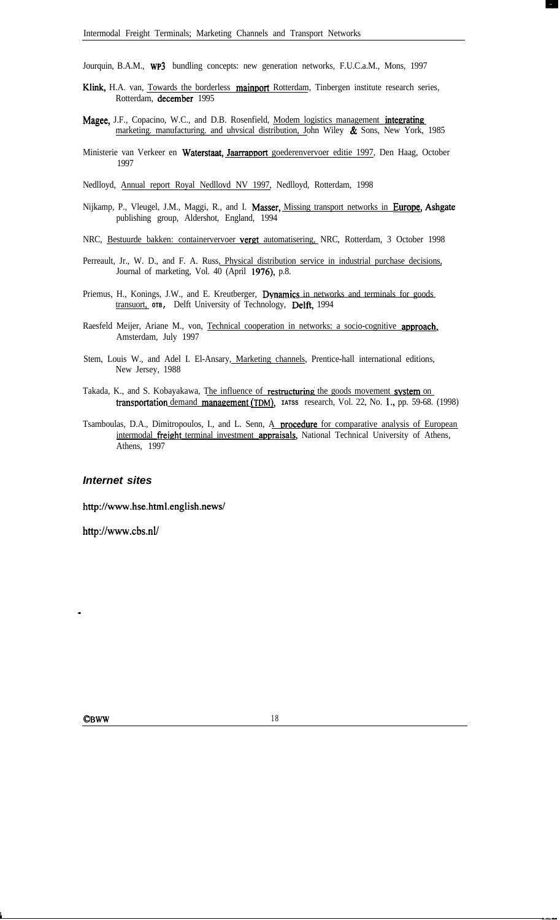Jourquin, B.A.M., WP3 bundling concepts: new generation networks, F.U.C.a.M., Mons, 1997

- Klink, H.A. van, Towards the borderless mainport Rotterdam, Tinbergen institute research series, Rotterdam, december 1995
- Magee, J.F., Copacino, W.C., and D.B. Rosenfield, Modem logistics management integrating marketing. manufacturing. and uhvsical distribution, John Wiley & Sons, New York, 1985
- Ministerie van Verkeer en Waterstaat, Jaarrapport goederenvervoer editie 1997, Den Haag, October 1997

Nedlloyd, Annual report Royal Nedllovd NV 1997, Nedlloyd, Rotterdam, 1998

- Nijkamp, P., Vleugel, J.M., Maggi, R., and I. Masser, *Missing transport networks in Europe*, Ashgate publishing group, Aldershot, England, 1994
- NRC, Bestuurde bakken: containervervoer vergt automatisering, NRC, Rotterdam, 3 October 1998
- Perreault, Jr., W. D., and F. A. Russ, *Physical distribution service in industrial purchase decisions*, Journal of marketing, Vol. 40 (April 1976), p.8.
- Priemus, H., Konings, J.W., and E. Kreutberger, Dynamics in networks and terminals for goods transuort, <sub>OTB</sub>, Delft University of Technology, Delft, 1994
- Raesfeld Meijer, Ariane M., von, Technical cooperation in networks: a socio-cognitive approach, Amsterdam, July 1997
- Stem, Louis W., and Adel I. El-Ansary, Marketing channels, Prentice-hall international editions, New Jersey, 1988
- Takada, K., and S. Kobayakawa, The influence of restructuring the goods movement system on transportation demand management (TDM), IATSS research, Vol. 22, No. 1., pp. 59-68. (1998)
- Tsamboulas, D.A., Dimitropoulos, I., and L. Senn, A **procedure** for comparative analysis of European intermodal freight terminal investment appraisals, National Technical University of Athens, Athens, 1997

#### *Internet sites*

http://www.hse.html.english.news/

http://www.cbs.nl/

**<sup>E</sup> -..--**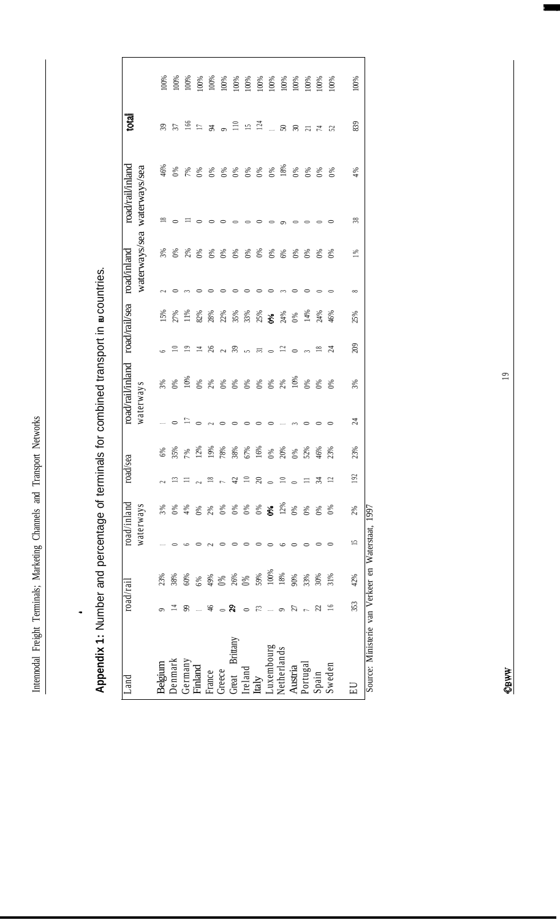Intennodal Freight Terminals; Marketing Channels and Transport Networks Intennodal Freight Terminals; Marketing Channels and Transport Networks

,

| $50x + C$                                     |
|-----------------------------------------------|
|                                               |
|                                               |
|                                               |
| $\frac{1}{2}$                                 |
|                                               |
|                                               |
|                                               |
|                                               |
|                                               |
|                                               |
|                                               |
|                                               |
|                                               |
| J                                             |
|                                               |
|                                               |
| Ī                                             |
|                                               |
|                                               |
|                                               |
|                                               |
|                                               |
|                                               |
| <b>SAMPLE STATES CARDS TO SAMPLE STATES .</b> |
|                                               |
|                                               |
|                                               |
|                                               |
|                                               |
|                                               |
|                                               |
|                                               |
|                                               |
|                                               |
| $\vdots$                                      |
|                                               |
|                                               |
| έ<br>ś                                        |

| -and                                               |          | road/rail                          |    | road/inland | road                     | sea              |              | road/rail/inland                                           |                  | road/rail/sea                                                                                                                                                                                                                                                                                             | road/inland                                                                                                                                                                   |                                             | road/rail/inland | tota                                            |      |
|----------------------------------------------------|----------|------------------------------------|----|-------------|--------------------------|------------------|--------------|------------------------------------------------------------|------------------|-----------------------------------------------------------------------------------------------------------------------------------------------------------------------------------------------------------------------------------------------------------------------------------------------------------|-------------------------------------------------------------------------------------------------------------------------------------------------------------------------------|---------------------------------------------|------------------|-------------------------------------------------|------|
|                                                    |          |                                    |    | waterways   |                          |                  | waterways    |                                                            |                  |                                                                                                                                                                                                                                                                                                           | waterways/sea                                                                                                                                                                 |                                             | waterways/sea    |                                                 |      |
| Belgium                                            |          | 23%                                |    | 3%          |                          |                  |              |                                                            |                  |                                                                                                                                                                                                                                                                                                           |                                                                                                                                                                               |                                             | 46%              |                                                 |      |
| Jenmark                                            |          | 38%                                |    | 0%          |                          |                  | $ \circ$     |                                                            |                  | $15%$<br>27%<br>11%                                                                                                                                                                                                                                                                                       |                                                                                                                                                                               | $\approx$ $\circ$ $\approx$ $\circ$ $\circ$ |                  |                                                 |      |
| Germany                                            | ஜ        | 60%                                |    | 4%          |                          |                  | $= 0$        |                                                            |                  |                                                                                                                                                                                                                                                                                                           |                                                                                                                                                                               |                                             |                  |                                                 |      |
| Finland                                            |          | 6%                                 |    | 0%          |                          |                  |              |                                                            |                  | 82%                                                                                                                                                                                                                                                                                                       |                                                                                                                                                                               |                                             |                  |                                                 |      |
| France                                             | \$       |                                    |    | 2%          |                          |                  | $\sim$       |                                                            |                  |                                                                                                                                                                                                                                                                                                           | $\circ$                                                                                                                                                                       |                                             |                  |                                                 |      |
| Greece                                             | ್ ನಿ     | $\frac{49%}{0%}$<br>$\frac{8}{0%}$ |    | 0%          |                          |                  | $\circ$      |                                                            |                  |                                                                                                                                                                                                                                                                                                           | $\circ$ $\circ$                                                                                                                                                               |                                             |                  |                                                 |      |
| Great Brittany                                     |          |                                    |    | 0%          | #                        |                  | $\circ$      |                                                            |                  |                                                                                                                                                                                                                                                                                                           |                                                                                                                                                                               |                                             |                  |                                                 |      |
| Ireland                                            | $\circ$  |                                    |    | 0%          | $\equiv$                 |                  | $\circ$      | 8 8 8 8 8 8 8 8 8 8 8 8 9 8<br>0 9 9 9 9 9 9 9 9 9 9 9 9 9 | 6997807762672672 | $\frac{88}{80}$ $\frac{88}{35}$ $\frac{88}{35}$ $\frac{88}{35}$ $\frac{88}{35}$ $\frac{88}{35}$ $\frac{88}{35}$ $\frac{88}{35}$ $\frac{88}{35}$ $\frac{88}{35}$ $\frac{88}{35}$ $\frac{88}{35}$ $\frac{88}{35}$ $\frac{88}{35}$ $\frac{88}{35}$ $\frac{88}{35}$ $\frac{88}{35}$ $\frac{88}{35}$ $\frac{8$ | 8 8 8 8 8 8 8 8 8 8 8 8 8 8<br>m 0 N 0 0 0 0 0 0 0 0 0 0<br>$\begin{array}{cccccccccccccc} \circ & \circ & \circ & \circ & \circ & \circ & \circ & \circ & \circ \end{array}$ |                                             | $888888888888$   | $33556$<br>$5553$<br>$5553$<br>$5121$<br>$5253$ |      |
| taly                                               | 73       | 59%                                |    | 0%          | $\approx$                |                  | $\circ$      |                                                            |                  |                                                                                                                                                                                                                                                                                                           |                                                                                                                                                                               |                                             |                  |                                                 |      |
| Luxembourg<br>Netherlands                          |          | 100%                               |    | $\delta$    | $\circ$                  |                  | $\circ$      |                                                            |                  |                                                                                                                                                                                                                                                                                                           |                                                                                                                                                                               |                                             |                  |                                                 |      |
|                                                    | $\sigma$ | 18%                                |    | 12%         | $\Xi$                    |                  |              |                                                            |                  |                                                                                                                                                                                                                                                                                                           |                                                                                                                                                                               |                                             |                  |                                                 |      |
| Austria                                            | 57       | $90\%$                             |    | $0\%$       | $\overline{\phantom{0}}$ |                  | $\sim$       |                                                            |                  |                                                                                                                                                                                                                                                                                                           |                                                                                                                                                                               |                                             | 0%               |                                                 |      |
| Portugal                                           |          | 33%                                |    | 0%          | $\equiv$                 |                  | $\circ$      |                                                            |                  | 14%                                                                                                                                                                                                                                                                                                       |                                                                                                                                                                               |                                             |                  |                                                 |      |
| Spain                                              | S        | 30%                                |    | 0%          | र्द्र                    | $^{46\%}_{23\%}$ | $\circ$      | 0%                                                         |                  | 24%                                                                                                                                                                                                                                                                                                       | ಿ ಕೆ                                                                                                                                                                          |                                             | 0%               |                                                 |      |
| Sweden                                             | $\geq$   | 31%                                |    | $\delta$    | $\Xi$                    |                  | $\circ$      |                                                            |                  | 46%                                                                                                                                                                                                                                                                                                       |                                                                                                                                                                               |                                             | 0%               |                                                 |      |
| $\Xi$                                              | 353      | 42%                                | 15 | 2%          | 192                      | 23%              | $\mathbb{Z}$ | 3%                                                         | 209              | 25%                                                                                                                                                                                                                                                                                                       | $\frac{8}{1}$<br>$\infty$                                                                                                                                                     | 38                                          | 4%               | 839                                             | 100% |
| Source: Ministerie van Verkeer en Waterstaat, 1997 |          |                                    |    |             |                          |                  |              |                                                            |                  |                                                                                                                                                                                                                                                                                                           |                                                                                                                                                                               |                                             |                  |                                                 |      |

 $\overline{19}$ 

**I**

OBWWW. OBWW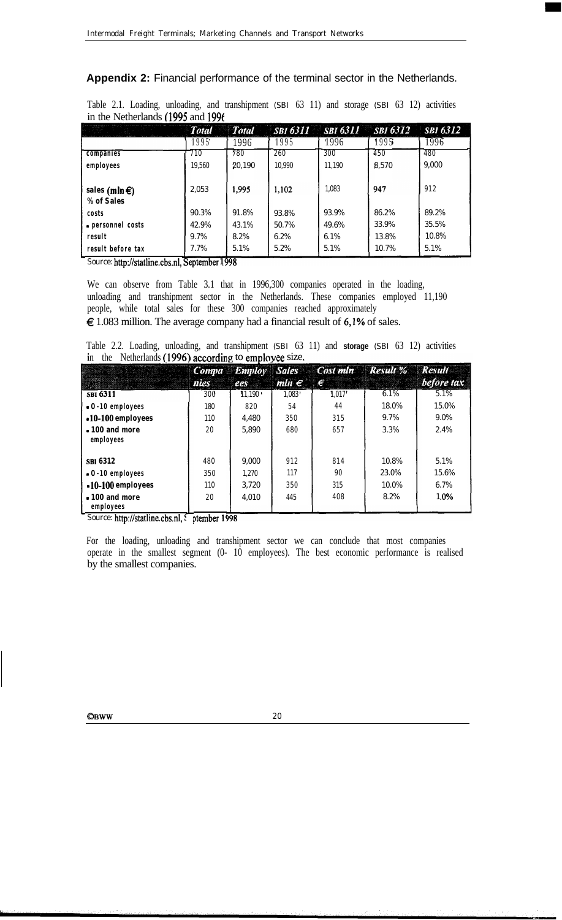**Appendix 2:** Financial performance of the terminal sector in the Netherlands.

Table 2.1. Loading, unloading, and transhipment (SBI 63 11) and storage (SBI 63 12) activities in the Netherlands (1995 and 199f

|                                       | <b>Total</b> | <b>Total</b> |        | <b>SBI 6311</b> SBI 6311 | $SBI\,6312$ | <b>SBI 6312</b> |
|---------------------------------------|--------------|--------------|--------|--------------------------|-------------|-----------------|
|                                       | 1995         | 1996         | 1995   | 1996                     | 1995        | 1996            |
| companies                             | 710          | 780          | 260    | 300                      | 450         | 480             |
| employees                             | 19.560       | 20.190       | 10.990 | 11.190                   | 8.570       | 9.000           |
| sales (mln $\epsilon$ )<br>% of Sales | 2.053        | 1,995        | 1,102  | 1.083                    | 947         | 912             |
| costs                                 | 90.3%        | 91.8%        | 93.8%  | 93.9%                    | 86.2%       | 89.2%           |
| · personnel costs                     | 42.9%        | 43.1%        | 50.7%  | 49.6%                    | 33.9%       | 35.5%           |
| result                                | 9.7%         | 8.2%         | 6.2%   | 6.1%                     | 13.8%       | 10.8%           |
| result before tax                     | 7.7%         | 5.1%         | 5.2%   | 5.1%                     | 10.7%       | 5.1%            |

Source: http://statline.cbs.nl, September 1998

We can observe from Table 3.1 that in 1996,300 companies operated in the loading, unloading and transhipment sector in the Netherlands. These companies employed 11,190 people, while total sales for these 300 companies reached approximately  $\epsilon$  1.083 million. The average company had a financial result of 6,1% of sales.

Table 2.2. Loading, unloading, and transhipment (SBI 63 11) and **storage** (SBI 63 12) activities in the Netherlands (1996) according to employee size.

|                                   | nies | ees    | $mln \in$ | €     | <b>Computer Employ Sales Cost mln Result % Result</b> | before tax |
|-----------------------------------|------|--------|-----------|-------|-------------------------------------------------------|------------|
| SBI 6311                          | 300  | 11.190 | 1.083'    | 1.017 | 6.1%                                                  | 5.1%       |
| $-0.10$ employees                 | 180  | 820    | 54        | 44    | 18.0%                                                 | 15.0%      |
| $-10-100$ employees               | 110  | 4.480  | 350       | 315   | 9.7%                                                  | $9.0\%$    |
| $\cdot$ 100 and more<br>employees | 20   | 5.890  | 680       | 657   | 3.3%                                                  | 2.4%       |
| <b>SBI 6312</b>                   | 480  | 9.000  | 912       | 814   | 10.8%                                                 | 5.1%       |
| $\cdot$ 0 $\cdot$ 10 employees    | 350  | 1.270  | 117       | 90    | 23.0%                                                 | 15.6%      |
| $-10-100$ employees               | 110  | 3.720  | 350       | 315   | 10.0%                                                 | 6.7%       |
| • 100 and more<br>employees       | 20   | 4.010  | 445       | 408   | 8.2%                                                  | 1.0%       |

Source: http://statline.cbs.nl, { ptember 19}

For the loading, unloading and transhipment sector we can conclude that most companies operate in the smallest segment (0- 10 employees). The best economic performance is realised by the smallest companies.